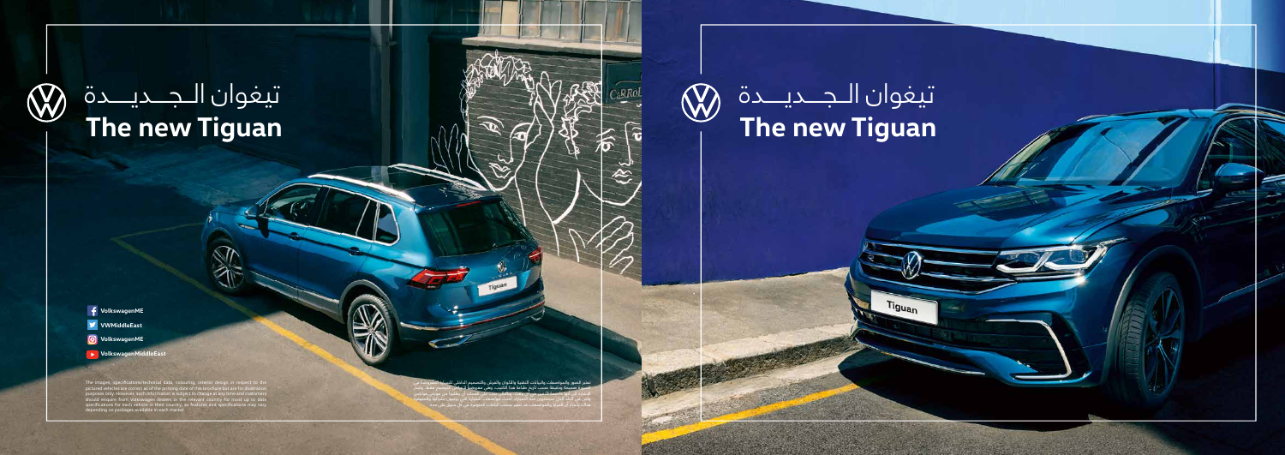## **The new Tiguan** تيغوان الــجــــديـــــدة

Tiguan

 $\bigotimes$ 

تعتبر الصور والمواصفات والبيانات التقنية والألوان والفرش والتصميم الداخلي للسبارة المعروضة في<br>الصورة صحيحة ودقيقة حسب تاريخ طباعة هذا الكتيب، وهي معروضة لأغراض التوضيح فقط. وتجر<br>الإشارة إلى أنها خاضعة للتغيير في أي وقت، و واجن في البلد الذي سيشترون منه السيارة، أحدث مواصفات السيارة التي يرغبون بشرائها والمتوفرة هناك باعتبار أن المزايا والمواصفات قد تتغير بحسب الباقات المتوفرة في كل سوق على حدة.

**VWMiddleEast VolkswagenME**

- **VolkswagenME**
- **VolkswagenMiddleEast**

The images, specifications/technical data, colouring, interior design in respect to the pictured vehicles are correct as of the printing date of this brochure but are for illustration purposes only. However, such informati

### تيغوان الــجــــديـــــدة**W The new Tiguan**